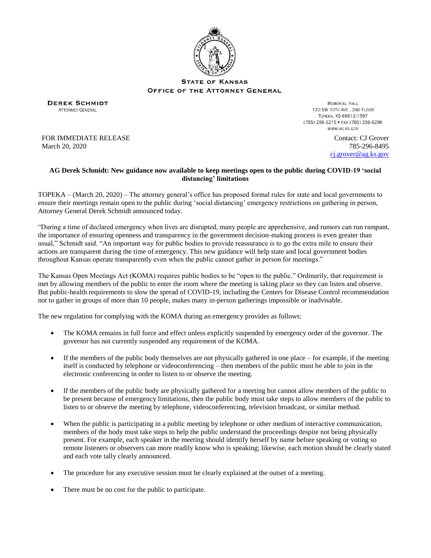

**STATE OF KANSAS** OFFICE OF THE ATTORNEY GENERAL

**DEREK SCHMIDT ATTORNEY GENERAL** 

**MEMORIAL HALL** 120 SW 10TH AVE., 2ND FLOOR ТОРЕКА, KS 66612-1597 (785) 296-2215 • FAX (785) 296-6296 WWW.AG.KS.GOV

FOR IMMEDIATE RELEASE March 20, 2020

Contact: CJ Grover 785-296-8495 [cj.grover@ag.ks.gov](mailto:cj.grover@ag.ks.gov)

## **AG Derek Schmidt: New guidance now available to keep meetings open to the public during COVID-19 'social distancing' limitations**

TOPEKA – (March 20, 2020) – The attorney general's office has proposed formal rules for state and local governments to ensure their meetings remain open to the public during 'social distancing' emergency restrictions on gathering in person, Attorney General Derek Schmidt announced today.

"During a time of declared emergency when lives are disrupted, many people are apprehensive, and rumors can run rampant, the importance of ensuring openness and transparency in the government decision-making process is even greater than usual," Schmidt said. "An important way for public bodies to provide reassurance is to go the extra mile to ensure their actions are transparent during the time of emergency. This new guidance will help state and local government bodies throughout Kansas operate transparently even when the public cannot gather in person for meetings."

The Kansas Open Meetings Act (KOMA) requires public bodies to be "open to the public." Ordinarily, that requirement is met by allowing members of the public to enter the room where the meeting is taking place so they can listen and observe. But public-health requirements to slow the spread of COVID-19, including the Centers for Disease Control recommendation not to gather in groups of more than 10 people, makes many in-person gatherings impossible or inadvisable.

The new regulation for complying with the KOMA during an emergency provides as follows:

- The KOMA remains in full force and effect unless explicitly suspended by emergency order of the governor. The governor has not currently suspended any requirement of the KOMA.
- If the members of the public body themselves are not physically gathered in one place for example, if the meeting itself is conducted by telephone or videoconferencing – then members of the public must be able to join in the electronic conferencing in order to listen to or observe the meeting.
- If the members of the public body are physically gathered for a meeting but cannot allow members of the public to be present because of emergency limitations, then the public body must take steps to allow members of the public to listen to or observe the meeting by telephone, videoconferencing, television broadcast, or similar method.
- When the public is participating in a public meeting by telephone or other medium of interactive communication, members of the body must take steps to help the public understand the proceedings despite not being physically present. For example, each speaker in the meeting should identify herself by name before speaking or voting so remote listeners or observers can more readily know who is speaking; likewise, each motion should be clearly stated and each vote tally clearly announced.
- The procedure for any executive session must be clearly explained at the outset of a meeting.
- There must be no cost for the public to participate.